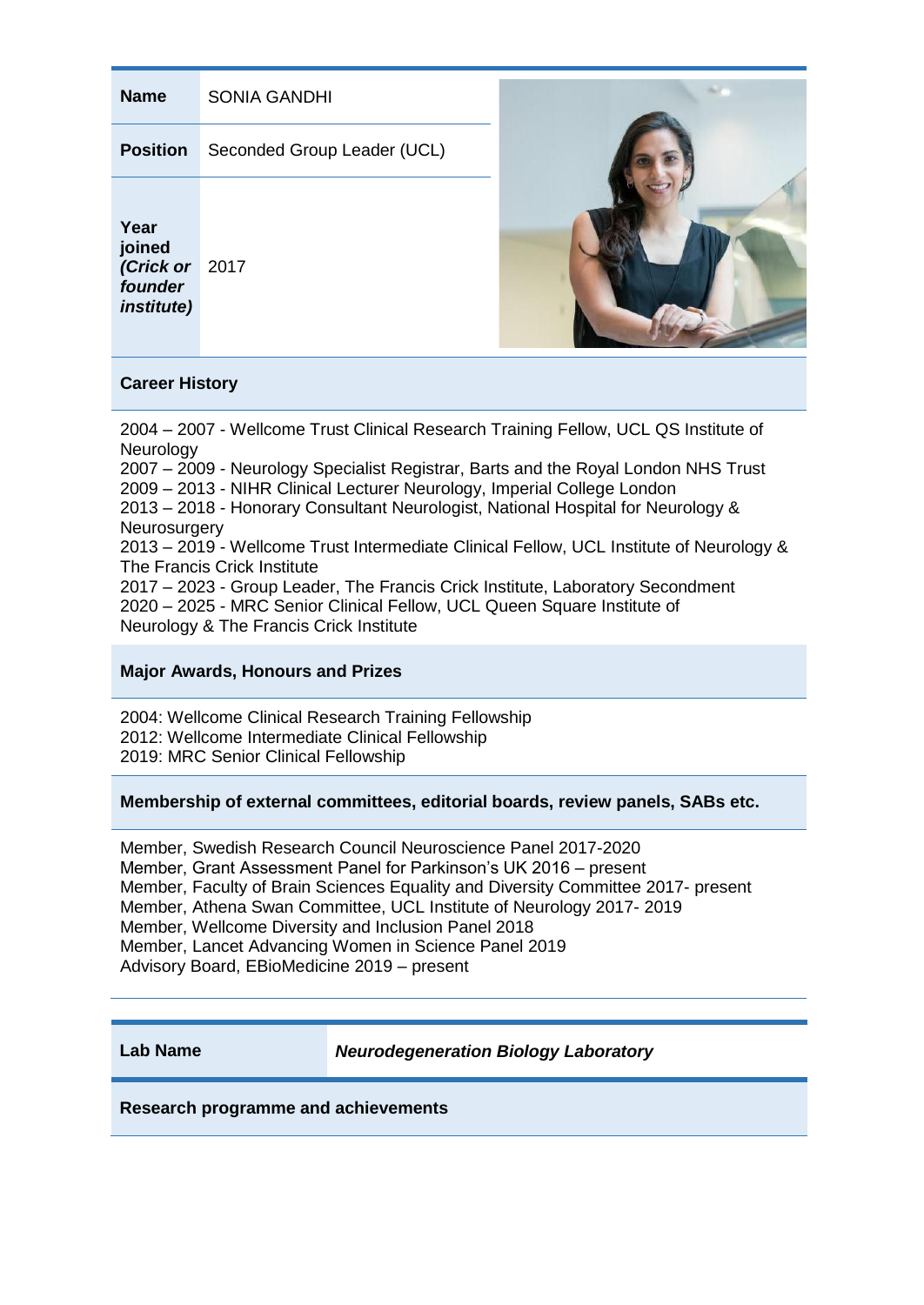| <b>Name</b>                                                      | <b>SONIA GANDHI</b>         |  |
|------------------------------------------------------------------|-----------------------------|--|
| <b>Position</b>                                                  | Seconded Group Leader (UCL) |  |
| Year<br>joined<br>(Crick or 2017<br>founder<br><i>institute)</i> |                             |  |

# **Career History**

2004 – 2007 - Wellcome Trust Clinical Research Training Fellow, UCL QS Institute of **Neurology** 

2007 – 2009 - Neurology Specialist Registrar, Barts and the Royal London NHS Trust 2009 – 2013 - NIHR Clinical Lecturer Neurology, Imperial College London 2013 – 2018 - Honorary Consultant Neurologist, National Hospital for Neurology & **Neurosurgery** 

2013 – 2019 - Wellcome Trust Intermediate Clinical Fellow, UCL Institute of Neurology & The Francis Crick Institute

2017 – 2023 - Group Leader, The Francis Crick Institute, Laboratory Secondment 2020 – 2025 - MRC Senior Clinical Fellow, UCL Queen Square Institute of Neurology & The Francis Crick Institute

# **Major Awards, Honours and Prizes**

2004: Wellcome Clinical Research Training Fellowship 2012: Wellcome Intermediate Clinical Fellowship 2019: MRC Senior Clinical Fellowship

# **Membership of external committees, editorial boards, review panels, SABs etc.**

Member, Swedish Research Council Neuroscience Panel 2017-2020 Member, Grant Assessment Panel for Parkinson's UK 2016 – present Member, Faculty of Brain Sciences Equality and Diversity Committee 2017- present Member, Athena Swan Committee, UCL Institute of Neurology 2017- 2019 Member, Wellcome Diversity and Inclusion Panel 2018 Member, Lancet Advancing Women in Science Panel 2019 Advisory Board, EBioMedicine 2019 – present

**Lab Name** *Neurodegeneration Biology Laboratory*

**Research programme and achievements**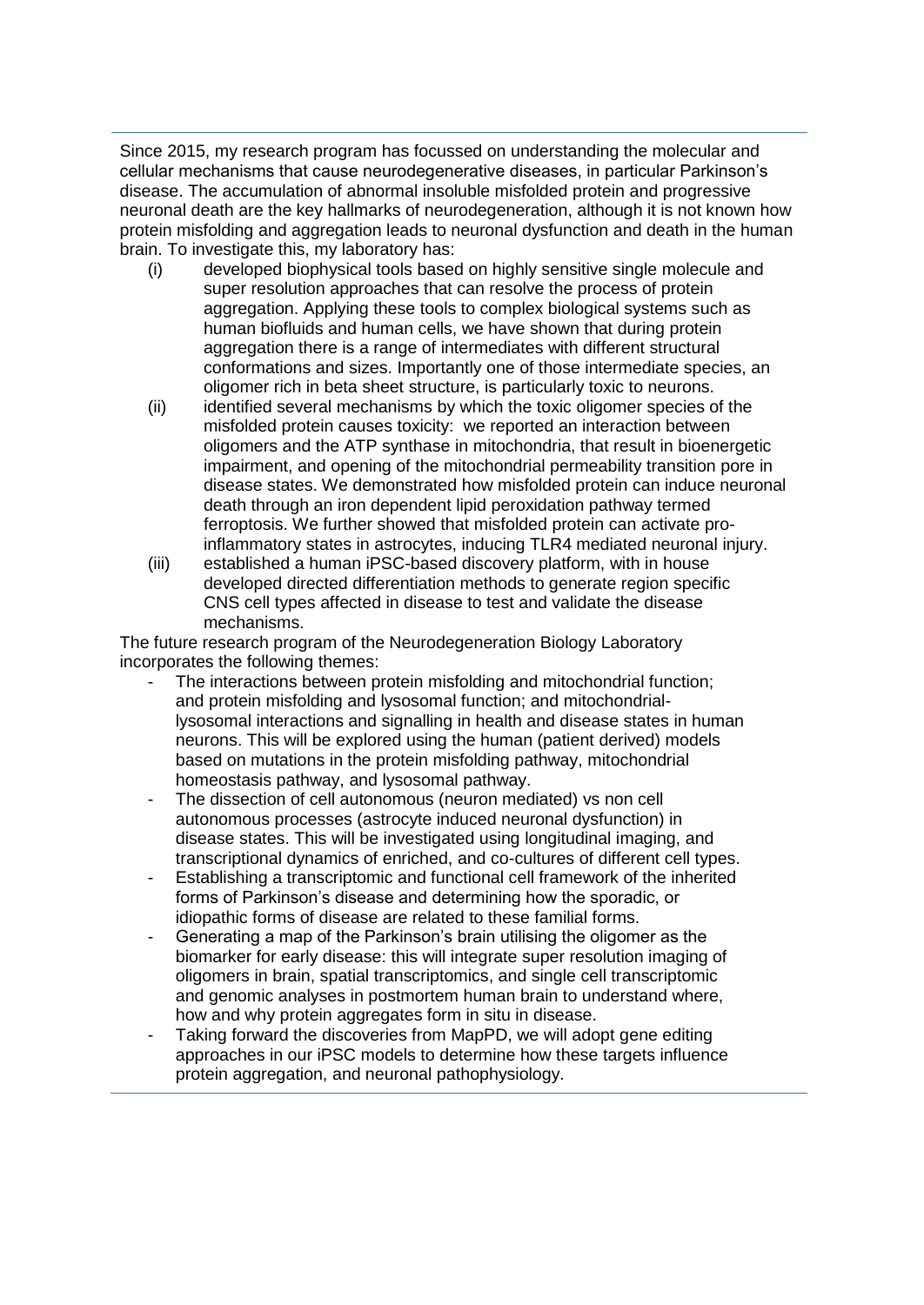Since 2015, my research program has focussed on understanding the molecular and cellular mechanisms that cause neurodegenerative diseases, in particular Parkinson's disease. The accumulation of abnormal insoluble misfolded protein and progressive neuronal death are the key hallmarks of neurodegeneration, although it is not known how protein misfolding and aggregation leads to neuronal dysfunction and death in the human brain. To investigate this, my laboratory has:

- (i) developed biophysical tools based on highly sensitive single molecule and super resolution approaches that can resolve the process of protein aggregation. Applying these tools to complex biological systems such as human biofluids and human cells, we have shown that during protein aggregation there is a range of intermediates with different structural conformations and sizes. Importantly one of those intermediate species, an oligomer rich in beta sheet structure, is particularly toxic to neurons.
- (ii) identified several mechanisms by which the toxic oligomer species of the misfolded protein causes toxicity: we reported an interaction between oligomers and the ATP synthase in mitochondria, that result in bioenergetic impairment, and opening of the mitochondrial permeability transition pore in disease states. We demonstrated how misfolded protein can induce neuronal death through an iron dependent lipid peroxidation pathway termed ferroptosis. We further showed that misfolded protein can activate proinflammatory states in astrocytes, inducing TLR4 mediated neuronal injury.
- (iii) established a human iPSC-based discovery platform, with in house developed directed differentiation methods to generate region specific CNS cell types affected in disease to test and validate the disease mechanisms.

The future research program of the Neurodegeneration Biology Laboratory incorporates the following themes:

- The interactions between protein misfolding and mitochondrial function; and protein misfolding and lysosomal function; and mitochondriallysosomal interactions and signalling in health and disease states in human neurons. This will be explored using the human (patient derived) models based on mutations in the protein misfolding pathway, mitochondrial homeostasis pathway, and lysosomal pathway.
- The dissection of cell autonomous (neuron mediated) vs non cell autonomous processes (astrocyte induced neuronal dysfunction) in disease states. This will be investigated using longitudinal imaging, and transcriptional dynamics of enriched, and co-cultures of different cell types.
- Establishing a transcriptomic and functional cell framework of the inherited forms of Parkinson's disease and determining how the sporadic, or idiopathic forms of disease are related to these familial forms.
- Generating a map of the Parkinson's brain utilising the oligomer as the biomarker for early disease: this will integrate super resolution imaging of oligomers in brain, spatial transcriptomics, and single cell transcriptomic and genomic analyses in postmortem human brain to understand where, how and why protein aggregates form in situ in disease.
- Taking forward the discoveries from MapPD, we will adopt gene editing approaches in our iPSC models to determine how these targets influence protein aggregation, and neuronal pathophysiology.